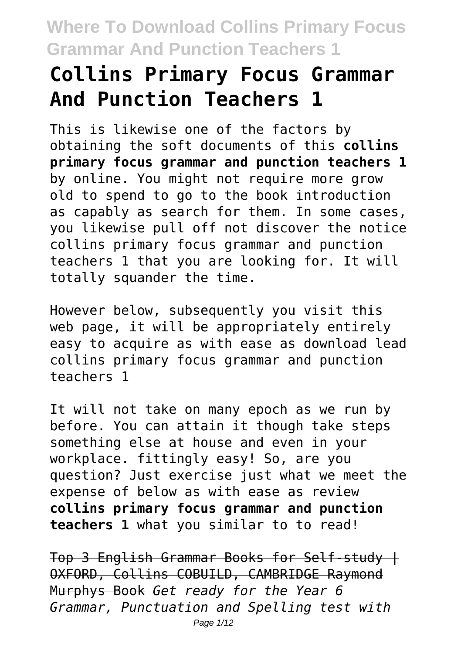# **Collins Primary Focus Grammar And Punction Teachers 1**

This is likewise one of the factors by obtaining the soft documents of this **collins primary focus grammar and punction teachers 1** by online. You might not require more grow old to spend to go to the book introduction as capably as search for them. In some cases, you likewise pull off not discover the notice collins primary focus grammar and punction teachers 1 that you are looking for. It will totally squander the time.

However below, subsequently you visit this web page, it will be appropriately entirely easy to acquire as with ease as download lead collins primary focus grammar and punction teachers 1

It will not take on many epoch as we run by before. You can attain it though take steps something else at house and even in your workplace. fittingly easy! So, are you question? Just exercise just what we meet the expense of below as with ease as review **collins primary focus grammar and punction teachers 1** what you similar to to read!

Top 3 English Grammar Books for Self-study | OXFORD, Collins COBUILD, CAMBRIDGE Raymond Murphys Book *Get ready for the Year 6 Grammar, Punctuation and Spelling test with*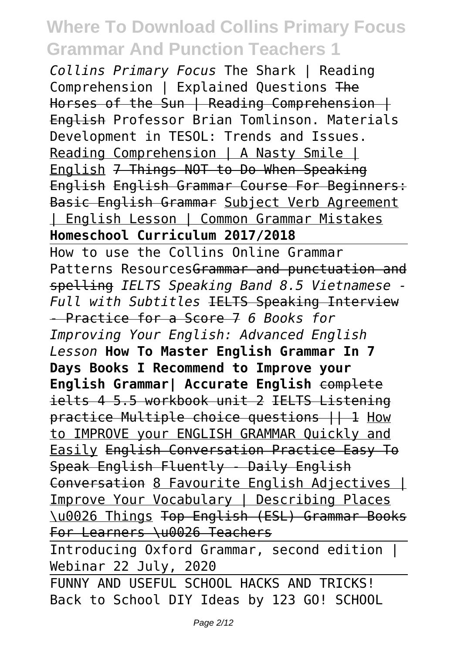*Collins Primary Focus* The Shark | Reading Comprehension | Explained Questions The Horses of the Sun | Reading Comprehension | English Professor Brian Tomlinson. Materials Development in TESOL: Trends and Issues. Reading Comprehension | A Nasty Smile | English 7 Things NOT to Do When Speaking English English Grammar Course For Beginners: Basic English Grammar Subject Verb Agreement | English Lesson | Common Grammar Mistakes **Homeschool Curriculum 2017/2018**

How to use the Collins Online Grammar Patterns Resources<del>Grammar and punctuation and</del> spelling *IELTS Speaking Band 8.5 Vietnamese - Full with Subtitles* IELTS Speaking Interview - Practice for a Score 7 *6 Books for Improving Your English: Advanced English Lesson* **How To Master English Grammar In 7 Days Books I Recommend to Improve your English Grammar| Accurate English** complete ielts 4 5.5 workbook unit 2 IELTS Listening practice Multiple choice questions || 1 How to IMPROVE your ENGLISH GRAMMAR Quickly and Easily English Conversation Practice Easy To Speak English Fluently - Daily English Conversation 8 Favourite English Adjectives | Improve Your Vocabulary | Describing Places \u0026 Things Top English (ESL) Grammar Books For Learners \u0026 Teachers

Introducing Oxford Grammar, second edition | Webinar 22 July, 2020

FUNNY AND USEFUL SCHOOL HACKS AND TRICKS! Back to School DIY Ideas by 123 GO! SCHOOL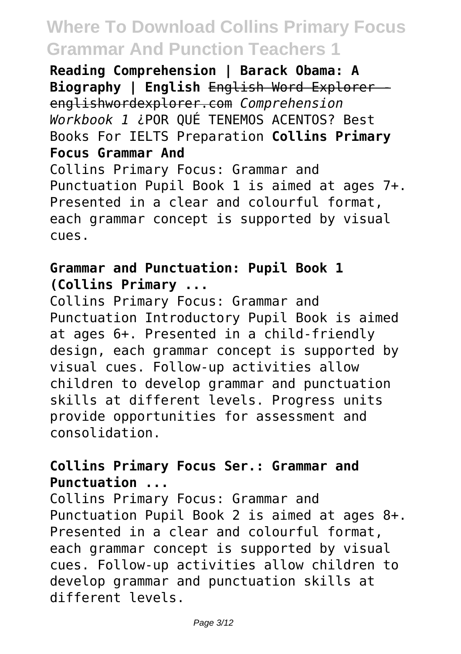**Reading Comprehension | Barack Obama: A Biography | English** English Word Explorer englishwordexplorer.com *Comprehension Workbook 1* ¿POR QUÉ TENEMOS ACENTOS? Best Books For IELTS Preparation **Collins Primary Focus Grammar And** Collins Primary Focus: Grammar and Punctuation Pupil Book 1 is aimed at ages 7+. Presented in a clear and colourful format, each grammar concept is supported by visual cues.

### **Grammar and Punctuation: Pupil Book 1 (Collins Primary ...**

Collins Primary Focus: Grammar and Punctuation Introductory Pupil Book is aimed at ages 6+. Presented in a child-friendly design, each grammar concept is supported by visual cues. Follow-up activities allow children to develop grammar and punctuation skills at different levels. Progress units provide opportunities for assessment and consolidation.

### **Collins Primary Focus Ser.: Grammar and Punctuation ...**

Collins Primary Focus: Grammar and Punctuation Pupil Book 2 is aimed at ages 8+. Presented in a clear and colourful format, each grammar concept is supported by visual cues. Follow-up activities allow children to develop grammar and punctuation skills at different levels.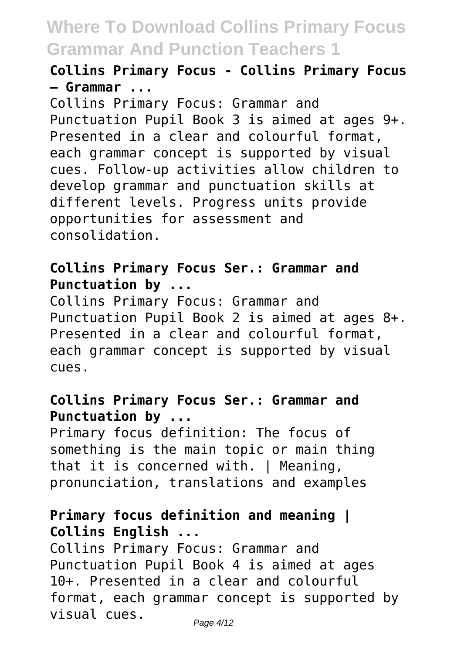**Collins Primary Focus - Collins Primary Focus – Grammar ...**

Collins Primary Focus: Grammar and Punctuation Pupil Book 3 is aimed at ages 9+. Presented in a clear and colourful format, each grammar concept is supported by visual cues. Follow-up activities allow children to develop grammar and punctuation skills at different levels. Progress units provide opportunities for assessment and consolidation.

#### **Collins Primary Focus Ser.: Grammar and Punctuation by ...**

Collins Primary Focus: Grammar and Punctuation Pupil Book 2 is aimed at ages 8+. Presented in a clear and colourful format, each grammar concept is supported by visual cues.

### **Collins Primary Focus Ser.: Grammar and Punctuation by ...**

Primary focus definition: The focus of something is the main topic or main thing that it is concerned with. | Meaning, pronunciation, translations and examples

### **Primary focus definition and meaning | Collins English ...**

Collins Primary Focus: Grammar and Punctuation Pupil Book 4 is aimed at ages 10+. Presented in a clear and colourful format, each grammar concept is supported by visual cues.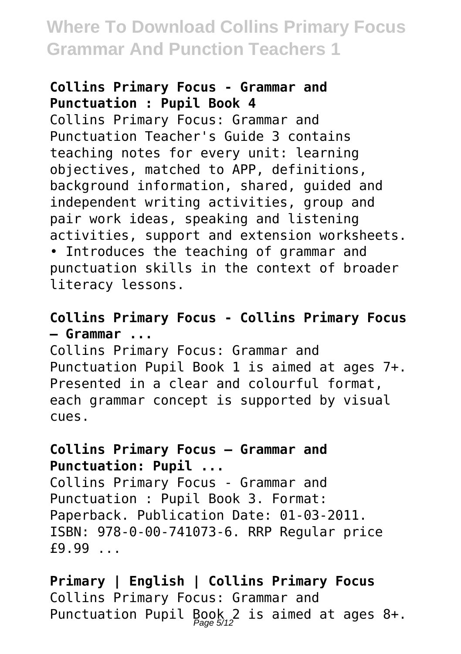#### **Collins Primary Focus - Grammar and Punctuation : Pupil Book 4**

Collins Primary Focus: Grammar and Punctuation Teacher's Guide 3 contains teaching notes for every unit: learning objectives, matched to APP, definitions, background information, shared, guided and independent writing activities, group and pair work ideas, speaking and listening activities, support and extension worksheets. • Introduces the teaching of grammar and punctuation skills in the context of broader literacy lessons.

### **Collins Primary Focus - Collins Primary Focus – Grammar ...**

Collins Primary Focus: Grammar and Punctuation Pupil Book 1 is aimed at ages 7+. Presented in a clear and colourful format, each grammar concept is supported by visual cues.

### **Collins Primary Focus – Grammar and Punctuation: Pupil ...**

Collins Primary Focus - Grammar and Punctuation : Pupil Book 3. Format: Paperback. Publication Date: 01-03-2011. ISBN: 978-0-00-741073-6. RRP Regular price £9.99 ...

**Primary | English | Collins Primary Focus** Collins Primary Focus: Grammar and Punctuation Pupil Book 2 is aimed at ages 8+.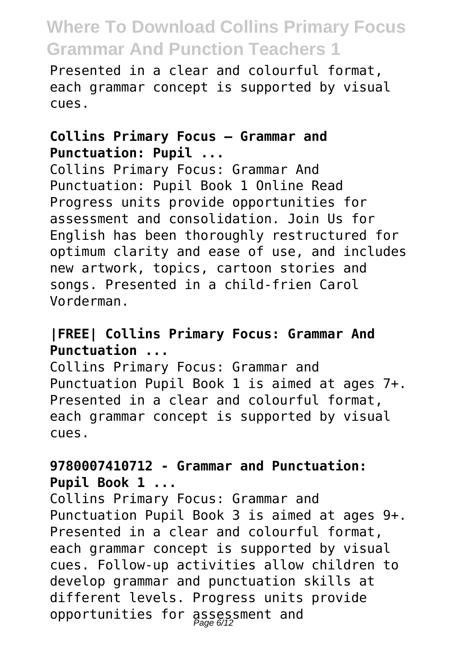Presented in a clear and colourful format, each grammar concept is supported by visual cues.

### **Collins Primary Focus – Grammar and Punctuation: Pupil ...**

Collins Primary Focus: Grammar And Punctuation: Pupil Book 1 Online Read Progress units provide opportunities for assessment and consolidation. Join Us for English has been thoroughly restructured for optimum clarity and ease of use, and includes new artwork, topics, cartoon stories and songs. Presented in a child-frien Carol Vorderman.

### **|FREE| Collins Primary Focus: Grammar And Punctuation ...**

Collins Primary Focus: Grammar and Punctuation Pupil Book 1 is aimed at ages 7+. Presented in a clear and colourful format, each grammar concept is supported by visual cues.

### **9780007410712 - Grammar and Punctuation: Pupil Book 1 ...**

Collins Primary Focus: Grammar and Punctuation Pupil Book 3 is aimed at ages 9+. Presented in a clear and colourful format, each grammar concept is supported by visual cues. Follow-up activities allow children to develop grammar and punctuation skills at different levels. Progress units provide opportunities for assessment and Page 6/12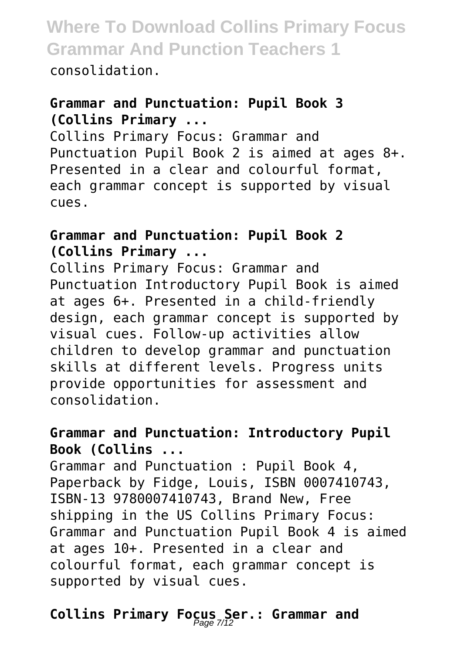consolidation.

### **Grammar and Punctuation: Pupil Book 3 (Collins Primary ...**

Collins Primary Focus: Grammar and Punctuation Pupil Book 2 is aimed at ages 8+. Presented in a clear and colourful format, each grammar concept is supported by visual cues.

### **Grammar and Punctuation: Pupil Book 2 (Collins Primary ...**

Collins Primary Focus: Grammar and Punctuation Introductory Pupil Book is aimed at ages 6+. Presented in a child-friendly design, each grammar concept is supported by visual cues. Follow-up activities allow children to develop grammar and punctuation skills at different levels. Progress units provide opportunities for assessment and consolidation.

### **Grammar and Punctuation: Introductory Pupil Book (Collins ...**

Grammar and Punctuation : Pupil Book 4, Paperback by Fidge, Louis, ISBN 0007410743, ISBN-13 9780007410743, Brand New, Free shipping in the US Collins Primary Focus: Grammar and Punctuation Pupil Book 4 is aimed at ages 10+. Presented in a clear and colourful format, each grammar concept is supported by visual cues.

# Collins Primary Focus Ser.: Grammar and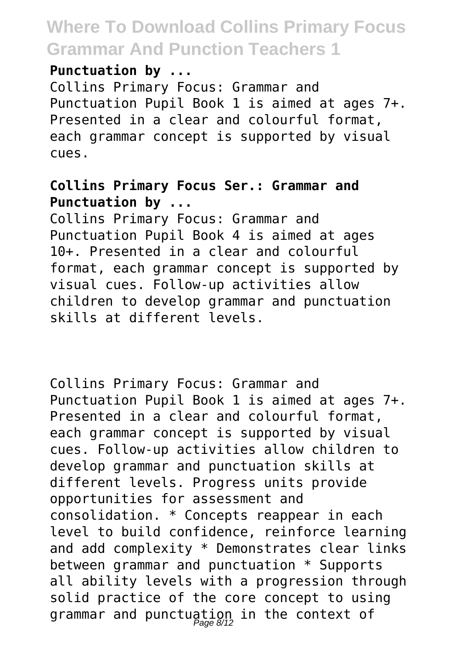#### **Punctuation by ...**

Collins Primary Focus: Grammar and Punctuation Pupil Book 1 is aimed at ages 7+. Presented in a clear and colourful format, each grammar concept is supported by visual cues.

### **Collins Primary Focus Ser.: Grammar and Punctuation by ...**

Collins Primary Focus: Grammar and Punctuation Pupil Book 4 is aimed at ages 10+. Presented in a clear and colourful format, each grammar concept is supported by visual cues. Follow-up activities allow children to develop grammar and punctuation skills at different levels.

Collins Primary Focus: Grammar and Punctuation Pupil Book 1 is aimed at ages 7+. Presented in a clear and colourful format, each grammar concept is supported by visual cues. Follow-up activities allow children to develop grammar and punctuation skills at different levels. Progress units provide opportunities for assessment and consolidation. \* Concepts reappear in each level to build confidence, reinforce learning and add complexity \* Demonstrates clear links between grammar and punctuation \* Supports all ability levels with a progression through solid practice of the core concept to using grammar and punctuation in the context of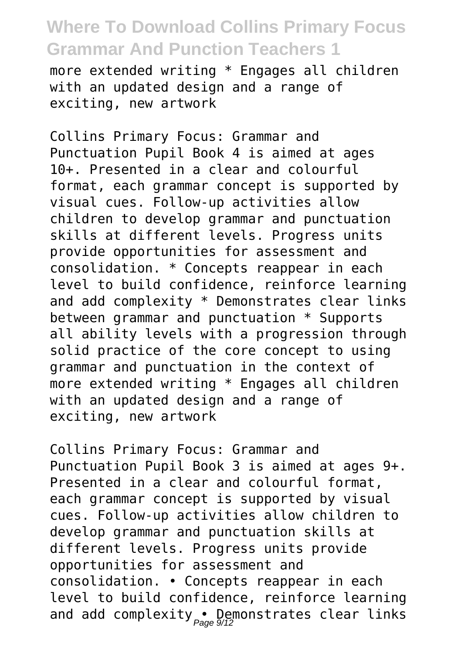more extended writing \* Engages all children with an updated design and a range of exciting, new artwork

Collins Primary Focus: Grammar and Punctuation Pupil Book 4 is aimed at ages 10+. Presented in a clear and colourful format, each grammar concept is supported by visual cues. Follow-up activities allow children to develop grammar and punctuation skills at different levels. Progress units provide opportunities for assessment and consolidation. \* Concepts reappear in each level to build confidence, reinforce learning and add complexity \* Demonstrates clear links between grammar and punctuation \* Supports all ability levels with a progression through solid practice of the core concept to using grammar and punctuation in the context of more extended writing \* Engages all children with an updated design and a range of exciting, new artwork

Collins Primary Focus: Grammar and Punctuation Pupil Book 3 is aimed at ages 9+. Presented in a clear and colourful format, each grammar concept is supported by visual cues. Follow-up activities allow children to develop grammar and punctuation skills at different levels. Progress units provide opportunities for assessment and consolidation. • Concepts reappear in each level to build confidence, reinforce learning and add complexity • Demonstrates clear links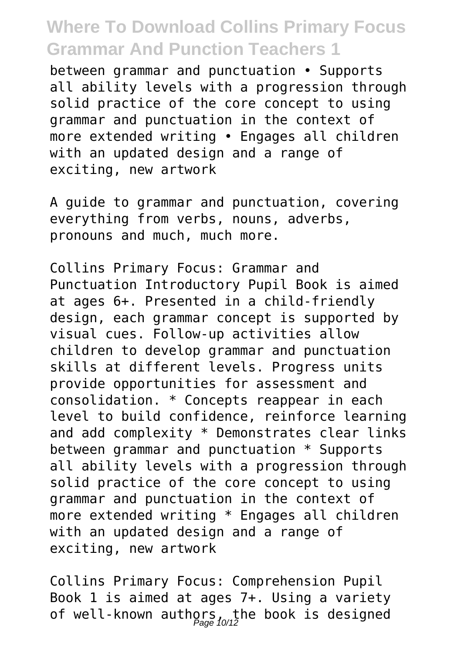between grammar and punctuation • Supports all ability levels with a progression through solid practice of the core concept to using grammar and punctuation in the context of more extended writing • Engages all children with an updated design and a range of exciting, new artwork

A guide to grammar and punctuation, covering everything from verbs, nouns, adverbs, pronouns and much, much more.

Collins Primary Focus: Grammar and Punctuation Introductory Pupil Book is aimed at ages 6+. Presented in a child-friendly design, each grammar concept is supported by visual cues. Follow-up activities allow children to develop grammar and punctuation skills at different levels. Progress units provide opportunities for assessment and consolidation. \* Concepts reappear in each level to build confidence, reinforce learning and add complexity \* Demonstrates clear links between grammar and punctuation \* Supports all ability levels with a progression through solid practice of the core concept to using grammar and punctuation in the context of more extended writing \* Engages all children with an updated design and a range of exciting, new artwork

Collins Primary Focus: Comprehension Pupil Book 1 is aimed at ages 7+. Using a variety of well-known authors, the book is designed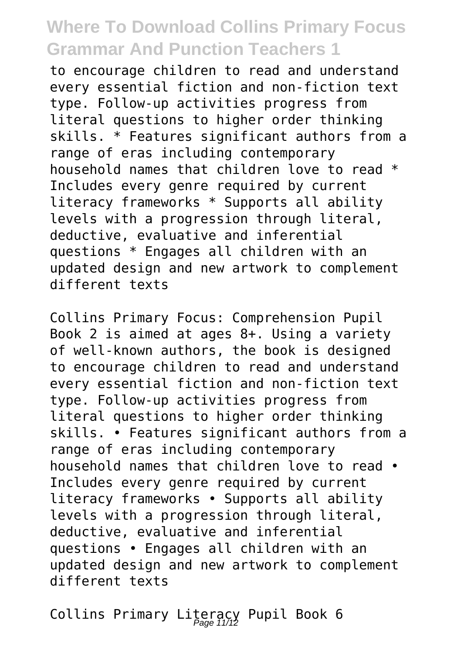to encourage children to read and understand every essential fiction and non-fiction text type. Follow-up activities progress from literal questions to higher order thinking skills. \* Features significant authors from a range of eras including contemporary household names that children love to read \* Includes every genre required by current literacy frameworks \* Supports all ability levels with a progression through literal, deductive, evaluative and inferential questions \* Engages all children with an updated design and new artwork to complement different texts

Collins Primary Focus: Comprehension Pupil Book 2 is aimed at ages 8+. Using a variety of well-known authors, the book is designed to encourage children to read and understand every essential fiction and non-fiction text type. Follow-up activities progress from literal questions to higher order thinking skills. • Features significant authors from a range of eras including contemporary household names that children love to read • Includes every genre required by current literacy frameworks • Supports all ability levels with a progression through literal, deductive, evaluative and inferential questions • Engages all children with an updated design and new artwork to complement different texts

Collins Primary Literacy Pupil Book 6